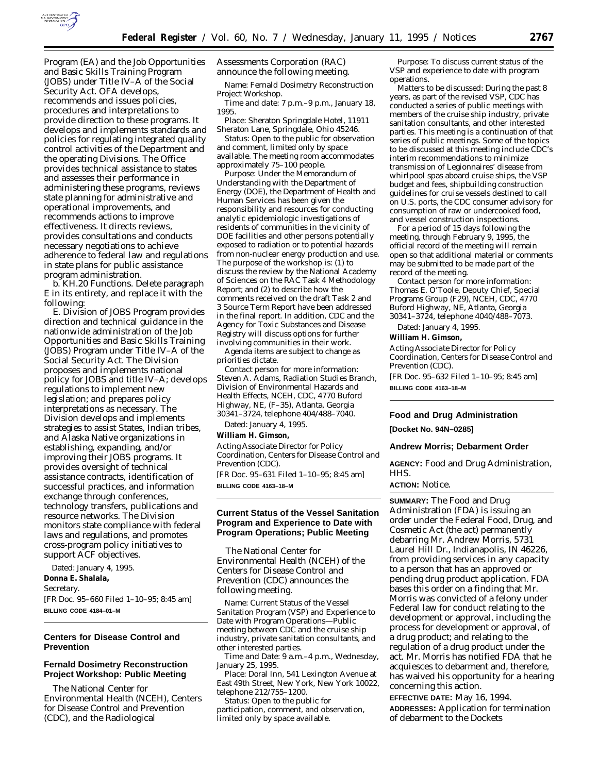

Program (EA) and the Job Opportunities and Basic Skills Training Program (JOBS) under Title IV–A of the Social Security Act. OFA develops, recommends and issues policies, procedures and interpretations to provide direction to these programs. It develops and implements standards and policies for regulating integrated quality control activities of the Department and the operating Divisions. The Office provides technical assistance to states and assesses their performance in administering these programs, reviews state planning for administrative and operational improvements, and recommends actions to improve effectiveness. It directs reviews, provides consultations and conducts necessary negotiations to achieve adherence to federal law and regulations in state plans for public assistance program administration.

b. KH.20 Functions. Delete paragraph E in its entirety, and replace it with the following:

E. Division of JOBS Program provides direction and technical guidance in the nationwide administration of the Job Opportunities and Basic Skills Training (JOBS) Program under Title IV–A of the Social Security Act. The Division proposes and implements national policy for JOBS and title IV–A; develops regulations to implement new legislation; and prepares policy interpretations as necessary. The Division develops and implements strategies to assist States, Indian tribes, and Alaska Native organizations in establishing, expanding, and/or improving their JOBS programs. It provides oversight of technical assistance contracts, identification of successful practices, and information exchange through conferences, technology transfers, publications and resource networks. The Division monitors state compliance with federal laws and regulations, and promotes cross-program policy initiatives to support ACF objectives.

Dated: January 4, 1995. **Donna E. Shalala,** *Secretary.* [FR Doc. 95–660 Filed 1–10–95; 8:45 am] **BILLING CODE 4184–01–M**

# **Centers for Disease Control and Prevention**

# **Fernald Dosimetry Reconstruction Project Workshop: Public Meeting**

The National Center for Environmental Health (NCEH), Centers for Disease Control and Prevention (CDC), and the Radiological

Assessments Corporation (RAC) announce the following meeting.

*Name:* Fernald Dosimetry Reconstruction Project Workshop.

*Time and date:* 7 p.m.–9 p.m., January 18, 1995.

*Place:* Sheraton Springdale Hotel, 11911 Sheraton Lane, Springdale, Ohio 45246.

*Status:* Open to the public for observation and comment, limited only by space available. The meeting room accommodates approximately 75–100 people.

*Purpose:* Under the Memorandum of Understanding with the Department of Energy (DOE), the Department of Health and Human Services has been given the responsibility and resources for conducting analytic epidemiologic investigations of residents of communities in the vicinity of DOE facilities and other persons potentially exposed to radiation or to potential hazards from non-nuclear energy production and use. The purpose of the workshop is: (1) to discuss the review by the National Academy of Sciences on the RAC Task 4 Methodology Report; and (2) to describe how the comments received on the draft Task 2 and 3 Source Term Report have been addressed in the final report. In addition, CDC and the Agency for Toxic Substances and Disease Registry will discuss options for further involving communities in their work.

Agenda items are subject to change as priorities dictate.

*Contact person for more information:* Steven A. Adams, Radiation Studies Branch, Division of Environmental Hazards and Health Effects, NCEH, CDC, 4770 Buford Highway, NE, (F–35), Atlanta, Georgia 30341–3724, telephone 404/488–7040.

Dated: January 4, 1995.

#### **William H. Gimson,**

*Acting Associate Director for Policy Coordination, Centers for Disease Control and Prevention (CDC).* [FR Doc. 95–631 Filed 1–10–95; 8:45 am]

**BILLING CODE 4163–18–M**

## **Current Status of the Vessel Sanitation Program and Experience to Date with Program Operations; Public Meeting**

The National Center for Environmental Health (NCEH) of the Centers for Disease Control and Prevention (CDC) announces the following meeting.

*Name:* Current Status of the Vessel Sanitation Program (VSP) and Experience to Date with Program Operations—Public meeting between CDC and the cruise ship industry, private sanitation consultants, and other interested parties.

*Time and Date:* 9 a.m.–4 p.m., Wednesday, January 25, 1995.

*Place:* Doral Inn, 541 Lexington Avenue at East 49th Street, New York, New York 10022, telephone 212/755–1200.

*Status:* Open to the public for participation, comment, and observation, limited only by space available.

*Purpose:* To discuss current status of the VSP and experience to date with program operations.

*Matters to be discussed:* During the past 8 years, as part of the revised VSP, CDC has conducted a series of public meetings with members of the cruise ship industry, private sanitation consultants, and other interested parties. This meeting is a continuation of that series of public meetings. Some of the topics to be discussed at this meeting include CDC's interim recommendations to minimize transmission of Legionnaires' disease from whirlpool spas aboard cruise ships, the VSP budget and fees, shipbuilding construction guidelines for cruise vessels destined to call on U.S. ports, the CDC consumer advisory for consumption of raw or undercooked food, and vessel construction inspections.

For a period of 15 days following the meeting, through February 9, 1995, the official record of the meeting will remain open so that additional material or comments may be submitted to be made part of the record of the meeting.

*Contact person for more information:* Thomas E. O'Toole, Deputy Chief, Special Programs Group (F29), NCEH, CDC, 4770 Buford Highway, NE, Atlanta, Georgia 30341–3724, telephone 4040/488–7073.

Dated: January 4, 1995.

### **William H. Gimson,**

*Acting Associate Director for Policy Coordination, Centers for Disease Control and Prevention (CDC).*

[FR Doc. 95–632 Filed 1–10–95; 8:45 am] **BILLING CODE 4163–18–M**

#### **Food and Drug Administration**

**[Docket No. 94N–0285]**

#### **Andrew Morris; Debarment Order**

**AGENCY:** Food and Drug Administration, HHS.

**ACTION:** Notice.

**SUMMARY:** The Food and Drug Administration (FDA) is issuing an order under the Federal Food, Drug, and Cosmetic Act (the act) permanently debarring Mr. Andrew Morris, 5731 Laurel Hill Dr., Indianapolis, IN 46226, from providing services in any capacity to a person that has an approved or pending drug product application. FDA bases this order on a finding that Mr. Morris was convicted of a felony under Federal law for conduct relating to the development or approval, including the process for development or approval, of a drug product; and relating to the regulation of a drug product under the act. Mr. Morris has notified FDA that he acquiesces to debarment and, therefore, has waived his opportunity for a hearing concerning this action.

**EFFECTIVE DATE:** May 16, 1994. **ADDRESSES:** Application for termination of debarment to the Dockets